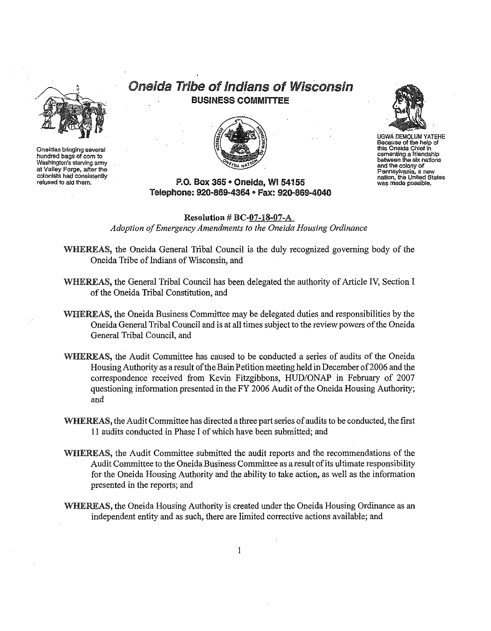

**Oneidas bringing several hundred bagsof com to Washington/s** starvinp army **at Valley Forge, afterthe** cotonlsts**hadconsistently refused to aid them.**







UGWA OEMOlUM YATEHE **Because of the help of this Oneida Chiefin cementing a friendship between the six nations and** the colony**of Pennsylvania. a new nation, the UnitedStates was madepossible.**

# P.O. Box 365 · Oneida, WI 54155 Telephone: 920-869-4364 • Fax: 920-869-4040

Resolution # BC-07-1S·07-A *Adoption ofEmergency Amendments to the Oneida Housing Ordinance*

WHEREAS, the Oneida General Tribal Council is the duly recognized governing body of the Oneida Tribe of Indians of Wisconsin, and

- WHEREAS, the General Tribal Council has been delegated the authority of Article IV, Section I of the Oneida Tribal Constitution, and
- WHEREAS, the Oneida Business Committee may be delegated duties and responsibilities by the Oneida General Tribal Council and is at all times subject to the review powers ofthe Oneida General Tribal Council, and
- WHEREAS, the Audit Committee has caused to be conducted a series of audits of the Oneida Housing Authority as a result of the Bain Petition meeting held in December of 2006 and the correspondence received from Kevin Fitzgibbons, HUD/ONAP in February of 2007 questioning information presented in the  $FY$  2006 Audit of the Oneida Housing Authority; and
- WHEREAS, the Audit Committee has directed a three part series of audits to be conducted, the first <sup>11</sup> audits conducted in Phase I ofwhich have been submitted; and
- WHEREAS, the Audit Committee submitted the audit reports and the recommendations of the Audit Committee to the Oneida Business Committee as aresultofits ultimate responsibility for the Oneida Housing Authority and the ability to take action, as well as the information presented in the reports; and
- WHEREAS, the Oneida Housing Authority is created under the Oneida Housing Ordinance as an independent entity and as such, there are limited corrective actions available; and

 $\mathbf{1}$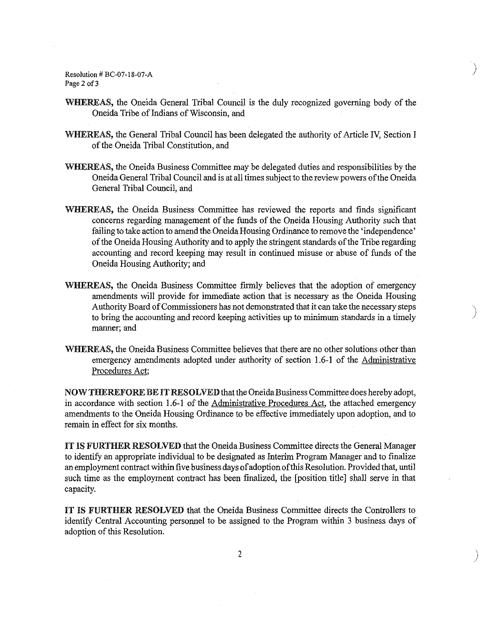Resolution # BC-07-18-07-A Page 2 of 3

WHEREAS, the Oneida General Tribal Council is the duly recognized governing body of the Oneida Tribe of Indians of Wisconsin, and

)

)

)<br>)

- WHEREAS, the General Tribal Council has been delegated the authority of Article IV, Section I of the Oneida Tribal Constitution, and
- WHEREAS, the Oneida Business Committee may be delegated duties and responsibilities by the Oneida General Tribal Council and is at all times subject to the review powers ofthe Oneida General Tribal Council, and
- WHEREAS, the Oneida Business Committee has reviewed the reports and finds significant concerns regarding management of the funds of the Oneida Housing Authority such that failing to take action to amend the Oneida Housing Ordinance to remove the 'independence' of the Oneida Housing Authority and to apply the stringent standards of the Tribe regarding accounting and record keeping may result in continued misuse or abuse of funds of the Oneida Housing Authority; and
- WHEREAS, the Oneida Business Committee firmly believes that the adoption of emergency amendments will provide for immediate action that is necessary as the Oneida Housing Authority Board ofCommissioners has not demonstrated that it can take the necessary steps to bring the accounting and record keeping activities up to minimum standards in a timely manner; and
- WHEREAS, the Oneida Business Committee believes that there are no other solutions other than emergency amendments adopted under authority of section 1.6-1 of the Administrative Procedures Act;

NOWTHEREFORE BE IT RESOLVED that the Oneida Business Committee does hereby adopt, in accordance with section 1.6·1 of the Administrative Procedures Act, the attached emergency amendments to the Oneida Housing Ordinance to be effective immediately upon adoption, and to remain in effect for six months.

IT IS FURTHER RESOLVED that the Oneida Business Committee directs the General Manager to identify an appropriate individual to be designated as Interim Program Manager and to finalize an employment contract within five business days ofadoption ofthis Resolution. Provided that, until such time as the employment contract has been finalized, the [position title] shall serve in that capacity.

IT IS FURTHER RESOLVED that the Oneida Business Committee directs the Controllers to identify Central Accounting personnel to be assigned to the Program within 3 business days of adoption of this Resolution.

2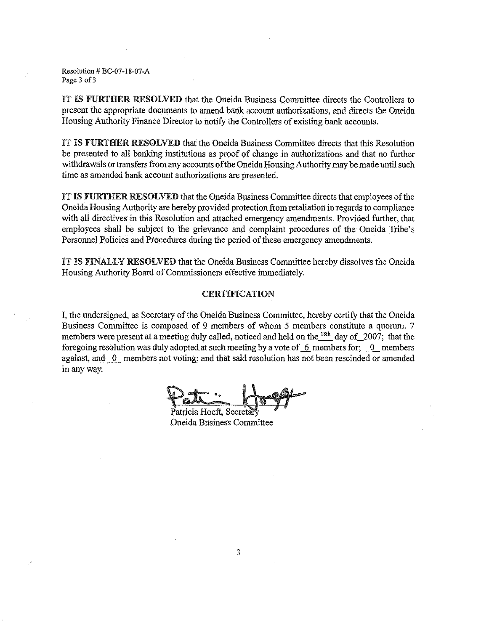Resolution # BC-07-l8-07-A Page 3 of 3

IT IS FURTHER RESOLVED that the Oneida Business Committee directs the Controllers to present the appropriate documents to amend bank account authorizations, and directs the Oneida Housing Authority Finance Director to notify the Controllers of existing bank accounts.

IT IS FURTHER RESOLVED that the Oneida Business Committee directs that this Resolution be presented to all banking institutions as proof of change in authorizations and that no further withdrawals or transfers from any accounts of the Oneida Housing Authority may be made until such time as amended bank account authorizations are presented.

IT IS FURTHER RESOLVED that the Oneida Business Committee directs that employees of the Oneida Housing Authority are hereby provided protection from retaliation in regards to compliance with all directives in this Resolution and attached emergency amendments. Provided further, that employees shall be subject to the grievance and complaint procedures of the Oneida Tribe's Personnel Policies and Procedures during the period of these emergency amendments.

rr IS FINALLY RESOLVED that the Oneida Business Committee hereby dissolves the Oneida Housing Authority Board of Commissioners effective immediately.

### CERTIFICATION

I, the undersigned, as Secretary of the Oneida Business Committee, hereby certify that the Oneida Business Committee is composed of 9 members of whom 5 members constitute a quorum. 7 members were present at a meeting duly called, noticed and held on the  $^{18th}$  day of 2007; that the foregoing resolution was duly adopted at such meeting by a vote of  $\overline{6}$  members for;  $\overline{0}$  members against, and  $\overline{\phantom{a}0\phantom{a}}$  members not voting; and that said resolution has not been rescinded or amended in any way.

Patricia Hoeft, Secret Oneida BUsinessCommittee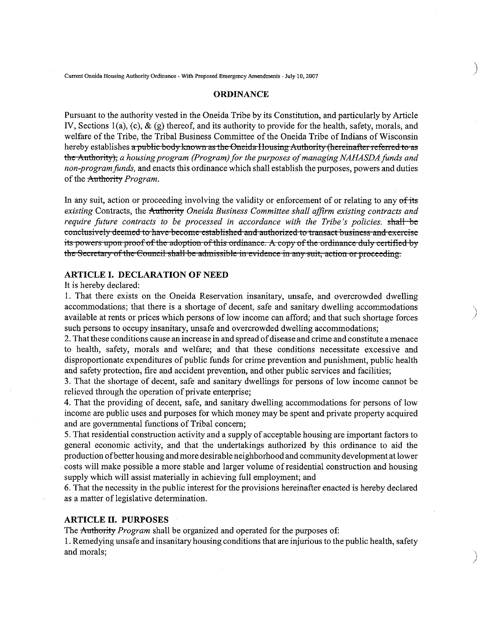**Current OneidaHousing Authority Ordinance - With Proposed Emergency Amendments" July 10,2007**

#### **ORDINANCE**

)

)

)

Pursuant to the authority vested in the Oneida Tribe by its Constitution, and particularly by Article IV, Sections  $I(a)$ , (c), & (g) thereof, and its authority to provide for the health, safety, morals, and welfare of the Tribe, the Tribal Business Committee of the Oneida Tribe of Indians of Wisconsin hereby establishes a public body known as the Oneida Housing Authority (hereinafter referred to as the Authority), *a housing program (Program) for the purposes of managing NAHASDA funds and non-programfunds,* and enacts this ordinance which shall establish the purposes, powers and duties of the Authority *Program*.

In any suit, action or proceeding involving the validity or enforcement of or relating to any of-its existing Contracts, the Authority *Oneida Business Committee shall affirm existing contracts and require future contracts to be processed in accordance with the Tribe's policies.* shall be **conclusively** deemed to have become established and authorized to transact business and exercise its powers upon proof of the adoption of this ordinance. A copy of the ordinance duly certified by **theSecretary** of the **Council shall be adruissiblc in evidence in any suit, action or proceeding.**

### **ARTICLE I. DECLARATION OF NEED**

It is hereby declared:

1. That there exists on the Oneida Reservation insanitary, unsafe, and overcrowded dwelling accommodations; that there is a shortage of decent, safe and sanitary dwelling accommodations available at rents or prices which persons of low income can afford; and that such shortage forces such persons to occupy insanitary, unsafe and overcrowded dwelling accommodations;

2. That these conditions cause an increase in and spread of disease and crime and constitute a menace to health, safety, morals and welfare; and that these conditions necessitate excessive and disproportionate expenditures of public funds for crime prevention and punishment, public health and safety protection, fire and accident prevention, and other public services and facilities;

3. That the shortage of decent, safe and sanitary dwellings for persons of low income cannot be relieved through the operation of private enterprise;

4. That the providing of decent, safe, and sanitary dwelling accommodations for persons of low income are public uses and purposes for which money may be spent and private property acquired and are governmental functions of Tribal concern;

5. That residential construction activity and a supply of acceptable housing are important factors to general economic activity, and that the undertakings authorized by this ordinance to aid the production ofbetter housing and more desirable neighborhood and communitydevelopment at lower costs will make possible a more stable and larger volume of residential construction and housing supply which will assist materially in achieving full employment; and

6. That the necessity in the public interest for the provisions hereinafter enacted is hereby declared as a matter of legislative determination.

#### **ARTICLE II. PURPOSES**

The Authority *Program* shall be organized and operated for the purposes of:

I. Remedying unsafe and insanitary housing conditions that are injurious to the public health, safety and morals;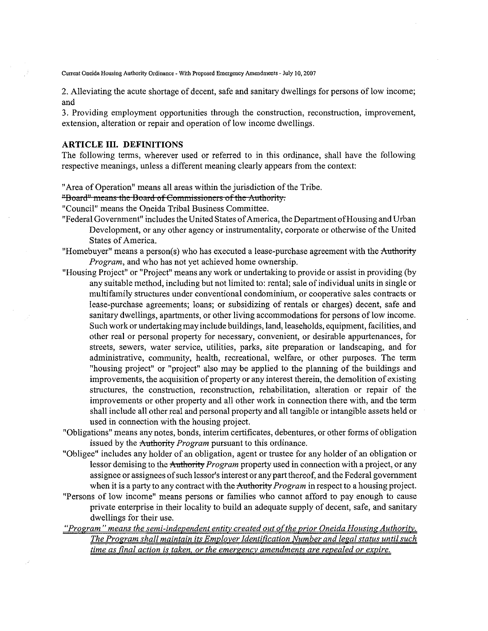**Current Oneida HousingAuthority Ordinance With Proposed Emergency Amendments \* July10, 2007**

2. Alleviating the acute shortage of decent, safe and sanitary dwellings for persons of low income; and

3. Providing employment opportunities through the construction, reconstruction, improvement, extension, alteration or repair and operation of low income dwellings.

## **ARTICLE III. DEFINITIONS**

The following terms, wherever used or referred to in this ordinance, shall have the following respective meanings, unless a different meaning clearly appears from the context:

"Area of Operation" means all areas within the jurisdiction of the Tribe.

## "Board" means the Board of Commissioners of the Authority.

"Council" means the Oneida Tribal Business Committee.

- "Federal Government" includes the United States of America, the Department of Housing and Urban Development, or any other agency or instrumentality, corporate or otherwise of the United States of America.
- "Homebuyer" means a person(s) who has executed a lease-purchase agreement with the Authority *Program,* and who has not yet achieved home ownership.
- "Housing Project" or "Project" means any work or undertaking to provide or assist in providing (by any suitable method, including but not limited to: rental; sale of individual units in single or multifamily structures under conventional condominium, or cooperative sales contracts or lease-purchase agreements; loans; or subsidizing of rentals or charges) decent, safe and sanitary dwellings, apartments, or other living accommodations for persons of low income. Such work or undertaking may include buildings, land, leaseholds, equipment, facilities, and other real or personal property for necessary, convenient, or desirable appurtenances, for streets, sewers, water service, utilities, parks, site preparation or landscaping, and for administrative, community, health, recreational, welfare, or other purposes. The term "housing project" or "project" also may be applied to the planning of the buildings and improvements, the acquisition of property or any interest therein, the demolition of existing structures, the construction, reconstruction, rehabilitation, alteration or repair of the improvements or other property and all other work in connection there with, and the term shall include all other real and personal property and all tangible or intangible assets held or used in connection with the housing project.
- "Obligations" means any notes, bonds, interim certificates, debentures, or other forms of obligation issued by the Authority *Program* pursuant to this ordinance.
- "Obligee" includes any holder of an obligation, agent or trustee for any holder of an obligation or lessor demising to the Authority *Program* property used in connection with a project, or any assignee or assignees ofsuch lessor's interest or any part thereof, and the Federal government when it is a party to any contract with the Authority *Program* in respect to a housing project.
- "Persons of low income" means persons or families who cannot afford to pay enough to cause private enterprise in their locality to build an adequate supply of decent, safe, and sanitary dwellings for their use.
- *"Program" means the semi-independent entity created out o(the prior Oneida Housing Authority. The Program shall maintain its EmploverIdentification Number and legal status untilsuch time as final action is taken, or the emergency amendments are repealed or expire.*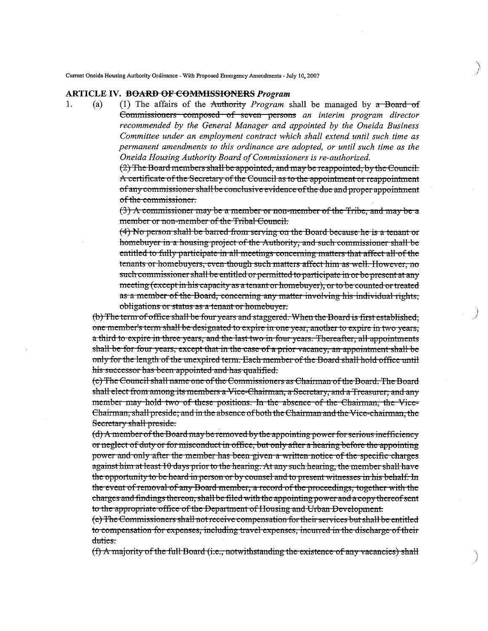Current Oneida Housing Authority Ordinance - With Proposed Emergency Amendments - July 10, 2007

#### **ARTICLE IV. <del>BOARD OF COMMISSIONERS</del>** Program

1.  $(a)$ (1) The affairs of the Authority Program shall be managed by  $\pi$  Board of Commissioners composed of seven persons an interim program director recommended by the General Manager and appointed by the Oneida Business Committee under an employment contract which shall extend until such time as permanent amendments to this ordinance are adopted, or until such time as the Oneida Housing Authority Board of Commissioners is re-authorized.

> (2) The Board members shall be appointed, and may be reappointed, by the Council. A certificate of the Secretary of the Council as to the appointment or reappointment of any commissioner shall be conclusive evidence of the due and proper appointment of the commissioner.

> (3) A commissioner may be a member or non-member of the Tribe, and may be a member or non-member of the Tribal Council.

> (4) No person shall be barred from serving on the Board because he is a tenant or homebuyer in a housing project of the Authority, and such commissioner shall be entitled to fully participate in all meetings concerning matters that affect all of the tenants or homebuyers, even though such matters affect him as well. However, no such commissioner shall be entitled or permitted to participate in or be present at any meeting (except in his capacity as a tenant or homebuyer), or to be counted or treated as a member of the Board, concerning any matter involving his individual rights, obligations or status as a tenant or homebuyer.

(b) The term of office shall be four years and staggered. When the Board is first established, one member's term shall be designated to expire in one year, another to expire in two years, a third to expire in three years, and the last two in four years. Thereafter, all appointments shall be for four years, except that in the case of a prior vacancy, an appointment shall be only for the length of the unexpired term. Each member of the Board shall hold office until his successor has been appointed and has qualified.

(c) The Council shall name one of the Commissioners as Chairman of the Board. The Board shall elect from among its members a Vice-Chairman, a Secretary, and a Treasurer; and any member may hold two of these positions. In the absence of the Chairman, the Vice-Chairman, shall preside; and in the absence of both the Chairman and the Vice-chairman, the Secretary shall preside.

(d) A member of the Board may be removed by the appointing power for serious inefficiency or neglect of duty or for misconduct in office, but only after a hearing before the appointing power and only after the member has been given a written notice of the specific charges against him at least 10 days prior to the hearing. At any such hearing, the member shall have the opportunity to be heard in person or by counsel and to present witnesses in his behalf. In the event of removal of any Board member, a record of the proceedings, together with the charges and findings thereon, shall be filed with the appointing power and a copy thereof sent to the appropriate office of the Department of Housing and Urban Development.

(e) The Commissioners shall not receive compensation for their services but shall be entitled to compensation for expenses, including travel expenses, incurred in the discharge of their duties-

 $(f)$  A majority of the full Board (i.e., notwithstanding the existence of any vacancies) shall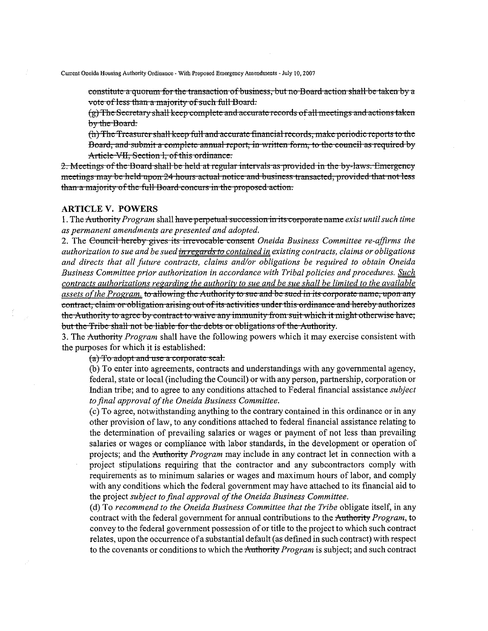constitute a quorum for the transaction of business, but no Board action shall be taken by a vote of less than a majority of such full Board.

 $(g)$  The Secretary shall keep complete and accurate records of all meetings and actions taken by the Board.

(h) The Treasurer shall keep full and accurate financial records, make periodic reports to the Board, and submit a complete annual report, in written form, to the council as required by Article VII. Section 1, of this ordinance.

2. Meetings of the Board shall be held at regular intervals as provided in the by-laws. Emergency meetings may be held upon 24 hours actual notice and business transacted, provided that not less than a majority of the full Board concurs in the proposed action.

### **ARTICLE V. POWERS**

1. The Authority Program shall have perpetual succession in its corporate name exist until such time as permanent amendments are presented and adopted.

2. The Council hereby gives its irrevocable consent Oneida Business Committee re-affirms the authorization to sue and be sued in regards to contained in existing contracts, claims or obligations and directs that all future contracts, claims and/or obligations be required to obtain Oneida Business Committee prior authorization in accordance with Tribal policies and procedures. Such contracts authorizations regarding the authority to sue and be sue shall be limited to the available assets of the Program, to allowing the Authority to sue and be sued in its corporate name, upon any contract, claim or obligation arising out of its activities under this ordinance and hereby authorizes the Authority to agree by contract to waive any immunity from suit which it might otherwise have; but the Tribe shall not be liable for the debts or obligations of the Authority.

3. The Authority Program shall have the following powers which it may exercise consistent with the purposes for which it is established:

(a) To adopt and use a corporate seal.

(b) To enter into agreements, contracts and understandings with any governmental agency, federal, state or local (including the Council) or with any person, partnership, corporation or Indian tribe; and to agree to any conditions attached to Federal financial assistance *subject* to final approval of the Oneida Business Committee.

(c) To agree, notwithstanding anything to the contrary contained in this ordinance or in any other provision of law, to any conditions attached to federal financial assistance relating to the determination of prevailing salaries or wages or payment of not less than prevailing salaries or wages or compliance with labor standards, in the development or operation of projects; and the Authority *Program* may include in any contract let in connection with a project stipulations requiring that the contractor and any subcontractors comply with requirements as to minimum salaries or wages and maximum hours of labor, and comply with any conditions which the federal government may have attached to its financial aid to the project subject to final approval of the Oneida Business Committee.

(d) To recommend to the Oneida Business Committee that the Tribe obligate itself, in any contract with the federal government for annual contributions to the Authority Program, to convey to the federal government possession of or title to the project to which such contract relates, upon the occurrence of a substantial default (as defined in such contract) with respect to the covenants or conditions to which the Authority Program is subject; and such contract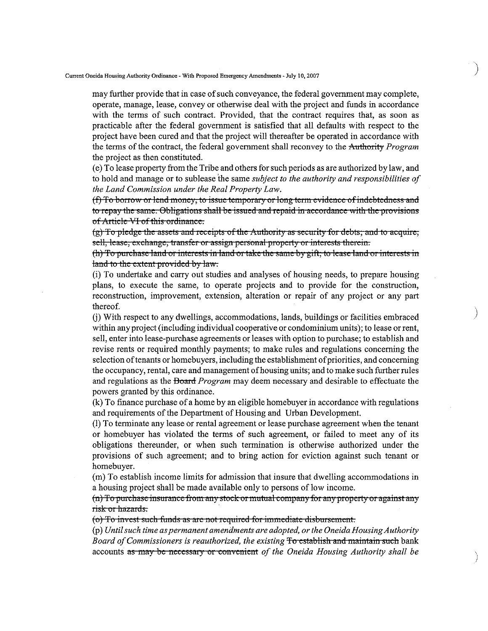**Current Oneida Housing Authority Ordinance With Proposed Emergency Amendments" July10,2007**

may further provide that in case of such conveyance, the federal government may complete, operate, manage, lease, conveyor otherwise deal with the project and funds in accordance with the terms of such contract. Provided, that the contract requires that, as soon as practicable after the federal government is satisfied that all defaults with respect to the project have been cured and that the project will thereafter be operated in accordance with the terms ofthe contract, the federal government shall reconvey to the Authority *Program* the project as then constituted.

)

)

', )

(e) To lease property from the Tribe and others for such periods as are authorized by law, and to hold and manage or to sublease the same *subject to the authority and responsibilities of the Land Commission under the Real Property Law.*

 $(f)$  To borrow or lend money, to issue temporary or long term evidence of indebtedness and **to** repay the same. Obligations shall be issued and repaid in accordance with the provisions of Article VI of this ordinance.

 $(g)$  To pledge the assets and receipts of the Authority as security for debts; and to acquire, sell, lease, exchange, transfer or assign personal property or interests therein.

(h) To purchase land or interests in land or take the same by gift; to lease land or interests in land to the extent provided by law.

(i) To undertake and carry out studies and analyses of housing needs, to prepare housing plans, to execute the same, to operate projects and to provide for the construction, reconstruction, improvement, extension, alteration or repair of any project or any part thereof.

(j) With respect to any dwellings, accommodations, lands, buildings or facilities embraced within any project (including individual cooperative or condominium units); to lease or rent, sell, enter into lease-purchase agreements or leases with option to purchase; to establish and revise rents or required monthly payments; to make rules and regulations concerning the selection of tenants or homebuyers, including the establishment of priorities, and concerning the occupancy, rental, care and management ofhousing units; and to make such further rules and regulations as the Board *Program* may deem necessary and desirable to effectuate the powers granted by this ordinance.

(k) To finance purchase ofa home by an eligible homebuyer in accordance with regulations and requirements of the Department of Housing and Urban Development.

(1) To terminate any lease or rental agreement or lease purchase agreement when the tenant or homebuyer has violated the terms of such agreement, or failed to meet any of its obligations thereunder, or when such termination is otherwise authorized under the provisions of such agreement; and to bring action for eviction against such tenant or homebuyer.

(m) To establish income limits for admission that insure that dwelling accommodations in a housing project shall be made available only to persons of low income.

(n) To purchase insurance from any stock or mutual company for any property or against any risk or hazards.

(o) To invest such funds as are not required for immediate disbursement.

(P) *Until such time aspermanent amendments are adopted, or the Oneida Housing Authority Board ofCommissioners* is *reauthorized, the existing* To establish and maintain such bank accounts as may be necessary or convenient of the Oneida Housing Authority shall be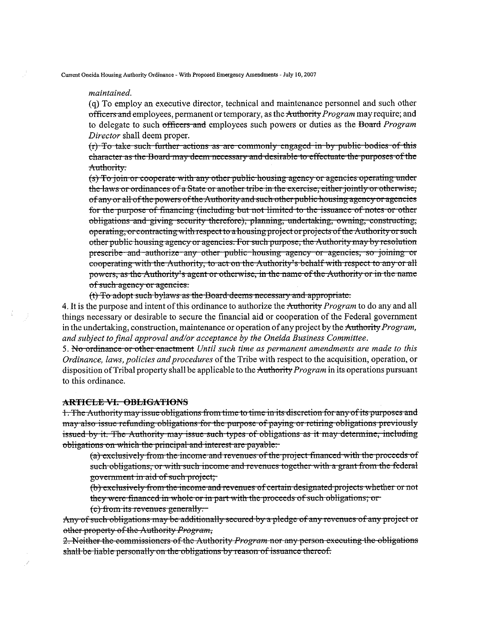#### *maintained.*

(q) To employ an executive director, technical and maintenance personnel and such other officers and employees, permanent or temporary, as the Authority *Program* may require; and to delegate to such officers and employees such powers or duties as the Board *Program Director* shall deem proper.

 $(r)$  To take such further actions as are commonly engaged in by public bodies of this character as the Board may deem necessary and desirable to effectuate the purposes of the Authority.

**(5)To join or cooperate with any otiler public housing agency 01 agencies operating undcr** the laws or ordinances of a State or another tribe in the exercise, either jointly or otherwise, of any or all of the powers of the Authority and such other public housing agency or agencies for the purpose of financing (including but not limited to the issuance of notes or other obligations and giving security therefore), planning, undertaking, owning, constructing, operating~ **or contracting with respecttoahousingproject or projects oftfle AUUlOlity or such** other public housing agency or agencies. For such purpose, the Authority may by resolution **prcscribc and authorize any other public housing agency or agencies, so joining or** cooperating with the Authority, to act on the Authority's behalf with respect to any or all powers, as the Authority's agent or otherwise, in the name of the Authority or in the name **ofsuch agency <sup>01</sup> agencies.**

(t) To adopt such bylaws as the Board deems necessary and appropriate.

4. It is the purpose and intent of this ordinance to authorize the Authority *Program* to do any and all things necessary or desirable to secure the financial aid or cooperation ofthe Federal government in the undertaking, construction, maintenance or operation of any project by the Authority *Program*, *and subject to final approval and/or acceptance by the Oneida Business Committee.*

5. No ordinance or othcr cnaetment *Until such time as permanent amendments are made to this Ordinance, laws, policies andprocedures* ofthe Tribe with respect to the acquisition, operation, or disposition of Tribal property shall be applicable to the Authority *Program* in its operations pursuant to this ordinance.

### **ARTICLE VI. OBLIGATIONS**

1. The Authority may issue obligations from time to time in its discretion for any of its purposes and may also issue refunding obligations for the purpose of paying or retiring obligations previously issued by it. The Authority may issue such types of obligations as it may determine, including obligations on which the principal and interest are payable.

**(a) exclusively fIorn the inCOllle and revenues** ofthe **project financed with tite proceeds of** such obligations, or with such income and revenues together with a grant from the federal **go vcr1lluent in aid of suchproject,**

(b) exclusively from the income and revenues of certain designated projects whether or not they were financed in whole or in part with the proceeds of such obligations; or

(c) from its revenues generally.

Any of such obligations may be additionally secured by a pledge of any revenues of any project or other property of the Authority Program,

2. Neither the commissioners of the Authority *Program* nor any person executing the obligations shall be liable personally on the obligations by reason of issuance thereof.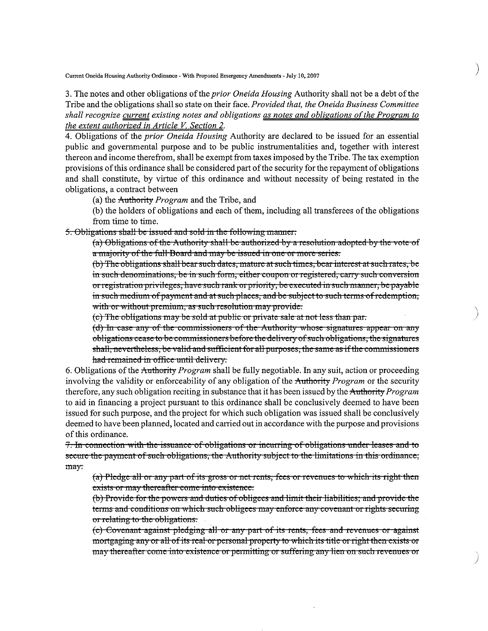**Current Oneida Housing Authority Ordinance - With Proposed Emergency Amendments - July10, 2007**

3. The notes and other obligations of the *prior Oneida Housing* Authority shall not be a debt of the Tribe and the obligations shall so state on their face. *Provided that, the Oneida Business Committee shall recognize current existing notes and obligations as notes and obligations ofthe Program to the extent authorized in Article V. Section 2.*

)

 $\overline{\phantom{a}}$ )

)

4. Obligations of the *prior Oneida Housing* Authority are declared to be issued for an essential public and governmental purpose and to be public instrumentalities and, together with interest thereon and income therefrom, shall be exempt from taxes imposed by the Tribe. The tax exemption provisions of this ordinance shall be considered part of the security for the repayment of obligations and shall constitute, by virtue of this ordinance and without necessity of being restated in the obligations, a contract between

(a) the Authority *Program* and the Tribe, and

(b) the holders of obligations and each of them, including all transferees of the obligations from time to time.

5. Obligations shall be issued and sold in the following manner:

(a) Obligations of the Authority shall be authorized by a resolution adopted by the vote of a majority of the full Board and may be issued in one or more series.

(b) The obligations shall bear such dates, mature at such times, bear interest at such rates, be in such denominations, be in such form, either coupon or registered, carry such conversion or registration privileges, have such rank or priority, be executed in such manner, be payable in such medium of payment and at such places, and be subject to such terms of redemption, with or without premium, as such resolution may provide:

(c) The obligations may be sold at public or private sale at not less than par.

**(d)** In case any of the commissioners of the Authority whose signatures appear on any **obligations cease to be commissioners before the delivery of such obligations, the signatures** shall, nevertheless, be valid and sufficient for all purposes, the same as if the commissioners had remained in office until delivery.

6. Obligations ofthe Anthotity *Program* shall be fully negotiable. In any suit, action or proceeding involving the validity or enforceability of any obligation of the Authority *Program* or the security therefore, any such obligation reciting in substance that it has been issued by the Anthotity *Program* to aid in financing a project pursuant to this ordinance shall be conclusively deemed to have been issued for such purpose, and the project for which such obligation was issued shall be conclusively deemed to have been planned, located and carried out in accordance with the purpose and provisions of this ordinance.

**7. hi eOlnieetion** ~~ **ith the issuance of obligations <sup>01</sup> ineUilhlg of obligations under leases dnd to secure the payment of such obligations, the Authority subject to the limitations in this ordinance,** may:

(a) Pledge all or any part of its gross or net rents, fees or revenues to which its right then exists or may thereafter come into existence.

(b) Provide for the powers and duties of obligees and limit their liabilities; and provide the terms and conditions on which such obligees may enforce any covenant or rights securing or relating to the obligations.

 $(c)$  Covenant against pledging all or any part of its rents, fees and revenues or against mortgaging any or all of its real or personal property to which its title or right then exists or may thereafter come into existence or permitting or suffering any lien on such revenues or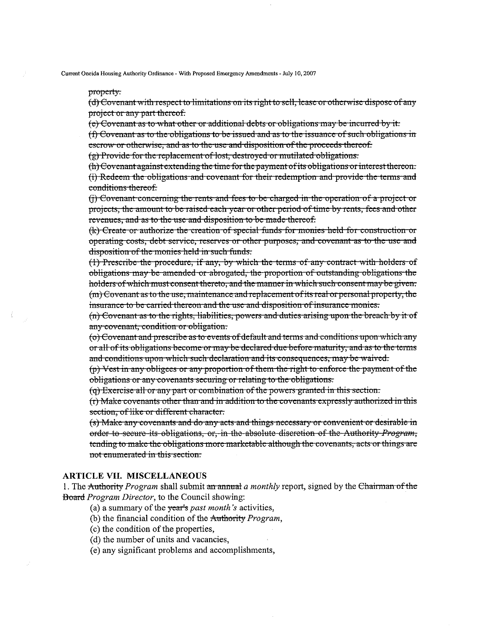#### property.

(d) Covenant with respect to limitations on its right to sell, lease or otherwise dispose of any project or any part thereof.

(e) Covenant as to what other or additional debts or obligations may be incurred by it.

(f) Covenant as to the obligations to be issued and as to the issuance of such obligations in escrow or otherwise, and as to the use and disposition of the proceeds thereof.

(g) Provide for the replacement of lost, destroyed or mutilated obligations.

(h) Covenant against extending the time for the payment of its obligations or interest thereon. (i) Redeem the obligations and covenant for their redemption and provide the terms and conditions thereof.

(j) Covenant concerning the rents and fees to be charged in the operation of a project or projects, the amount to be raised each year or other period of time by rents, fees and other revenues, and as to the use and disposition to be made thereof.

(k) Create or authorize the creation of special funds for monies held for construction or operating costs, debt service, reserves or other purposes, and covenant as to the use and disposition of the monies held in such funds.

(1) Prescribe the procedure, if any, by which the terms of any contract with holders of obligations may be amended or abrogated, the proportion of outstanding obligations the holders of which must consent thereto, and the manner in which such consent may be given.  $(m)$  Covenant as to the use, maintenance and replacement of its real or personal property, the insurance to be carried thereon and the use and disposition of insurance monies.

(n) Covenant as to the rights, liabilities, powers and duties arising upon the breach by it of any covenant, condition or obligation.

(o) Covenant and prescribe as to events of default and terms and conditions upon which any or all of its obligations become or may be declared due before maturity, and as to the terms and conditions upon which such declaration and its consequences, may be waived.

 $(p)$  Vest in any obligees or any proportion of them the right to enforce the payment of the obligations or any covenants securing or relating to the obligations.

(q) Exercise all or any part or combination of the powers granted in this section.

 $(r)$  Make covenants other than and in addition to the covenants expressly authorized in this section, of like or different character.

(s) Make any covenants and do any acts and things necessary or convenient or desirable in order to secure its obligations, or, in the absolute discretion of the Authority Program, tending to make the obligations more marketable although the covenants, acts or things are not enumerated in this section.

# **ARTICLE VII. MISCELLANEOUS**

1. The Authority Program shall submit an annual a monthly report, signed by the Chairman of the Board Program Director, to the Council showing:

- (a) a summary of the  $\frac{1}{2}$  year's past month's activities,
- (b) the financial condition of the Authority Program,
- (c) the condition of the properties,
- (d) the number of units and vacancies,
- (e) any significant problems and accomplishments,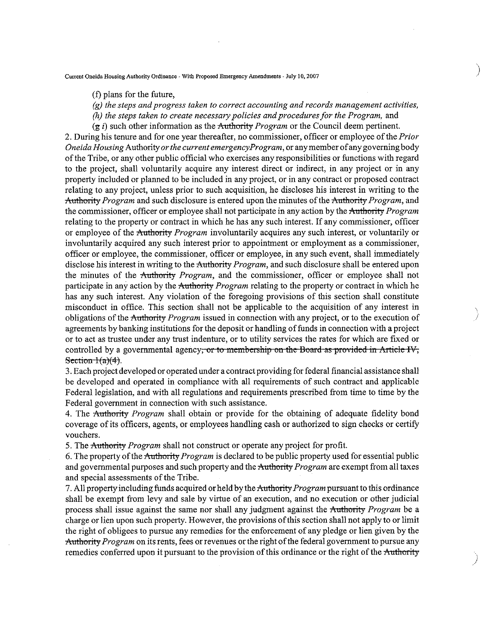**Current OneidaHousingAuthority Ordinance" WithProposed Emergency Amendments" July10, 2007**

- (f) plans for the future,
- *(g) the steps and progress taken to correct accounting and records management activities,*

)

 $\overline{\phantom{a}}$ ;<br>;

- *(h) the steps taken to create necessary policies and proceduresfor the Program,* and
- $(g i)$  such other information as the Authority *Program* or the Council deem pertinent.

2. During his tenure and for one year thereafter, no commissioner, officer or employee ofthe *Prior Oneida Housing* Authority *or the current emergencyProgram,* or any member ofany governing body ofthe Tribe, or any other public official who exercises any responsibilities or functions with regard to the project, shall voluntarily acquire any interest direct or indirect, in any project or in any property included or planned to be included in any project, or in any contract or proposed contract relating to any project, unless prior to such acquisition, he discloses his interest in writing to the Attthority *Program* and such disclosure is entered upon the minutes ofthe Authority *Program,* and the commissioner, officer or employee shall not participate in any action by the Authority *Program* relating to the property or contract in which he has any such interest. If any commissioner, officer or employee of the Authority *Program* involuntarily acquires any such interest, or voluntarily or involuntarily acquired any such interest prior to appointment or employment as a commissioner, officer or employee, the commissioner, officer or employee, in any such event, shall immediately disclose his interest in writing to the Authority *Program,* and such disclosure shall be entered upon the minutes of the Authority *Program,* and the commissioner, officer or employee shall not participate in any action by the Authority *Program* relating to the property or contract in which he has any such interest. Any violation of the foregoing provisions of this section shall constitute misconduct in office. This section shall not be applicable to the acquisition of any interest in obligations of the Authority *Program* issued in connection with any project, or to the execution of agreements by banking institutions for the deposit or handling of funds in connection with a project or to act as trustee under any trust indenture, or to utility services the rates for which are fixed or controlled by a governmental agency, or to membership on the Board as provided in Article IV, Section  $1(a)(4)$ .

3. Each project developed or operated under a contract providing for federal financial assistance shall be developed and operated in compliance with all requirements of such contract and applicable Federal legislation, and with all regulations and requirements prescribed from time to time by the Federal government in connection with such assistance.

4. The Authority *Program* shall obtain or provide for the obtaining of adequate fidelity bond coverage of its officers, agents, or employees handling cash or authorized to sign checks or certify vouchers.

5. The Authority *Program* shall not construct or operate any project for profit.

6. The property of the Authority *Program* is declared to be public property used for essential public and governmental purposes and such property and the Authority *Program* are exempt from all taxes and special assessments of the Tribe.

7. All property including funds acquired or held by the Authority *Program* pursuant to this ordinance shall be exempt from levy and sale by virtue of an execution, and no execution or other judicial process shall issue against the same nor shall any judgment against the Authority *Program* be a charge or lien upon such property. However, the provisions ofthis section shall not apply to or limit the right of obligees to pursue any remedies for the enforcement of any pledge or lien given by the Authority *Program* on its rents, fees or revenues or the right of the federal government to pursue any remedies conferred upon it pursuant to the provision of this ordinance or the right of the Authority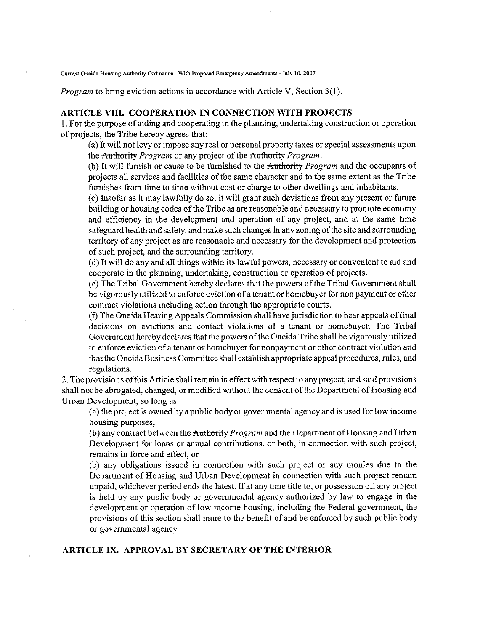**Current Oneida HousingAuthority Ordinance - With Proposed Emergency** Amendments- **July 10, 2007**

*Program* to bring eviction actions in accordance with Article V, Section 3(1).

## **ARTICLE VIII. COOPERATION IN CONNECTION WITH PROJECTS**

1. For the purpose of aiding and cooperating in the planning, undertaking construction or operation of projects, the Tribe hereby agrees that:

(a) It will not levy or impose any real or personal property taxes or special assessments upon the Authority *Program* or any project of the Authority *Program.*

(b) It will furnish or cause to be furnished to the Anthority *Program* and the occupants of projects all services and facilities of the same character and to the same extent as the Tribe furnishes from time to time without cost or charge to other dwellings and inhabitants.

(c) Insofar as it may lawfully do so, it will grant such deviations from any present or future building or housing codes of the Tribe as are reasonable and necessary to promote economy and efficiency in the development and operation of any project, and at the same time safeguard health and safety, and make such changes in any zoning of the site and surrounding territory of any project as are reasonable and necessary for the development and protection of such project, and the surrounding territory.

(d) It will do any and all things within its lawful powers, necessary or convenient to aid and cooperate in the planning, undertaking, construction or operation of projects.

(e) The Tribal Government hereby declares that the powers ofthe Tribal Government shall be vigorously utilized to enforce eviction of a tenant or homebuyer for non payment or other contract violations including action through the appropriate courts.

(f) The Oneida Hearing Appeals Commission shall have jurisdiction to hear appeals offinal decisions on evictions and contact violations of a tenant or homebuyer. The Tribal Government hereby declares that the powers ofthe Oneida Tribe shall be vigorously utilized to enforce eviction of a tenant or homebuyer for nonpayment or other contract violation and that the Oneida Business Committee shall establish appropriate appeal procedures, rules, and regulations.

2. The provisions ofthis Article shall remain in effect with respect to any project, and said provisions shall not be abrogated, changed, or modified without the consent of the Department of Housing and Urban Development, so long as

(a) the project is owned by a public body or governmental agency and is used for low income housing purposes,

(b) any contract between the Authority *Program* and the Department of Housing and Urban Development for loans or annual contributions, or both, in connection with such project, remains in force and effect, or

(c) any obligations issued in connection with such project or any monies due to the Department of Housing and Urban Development in connection with such project remain unpaid, whichever period ends the latest. If at any time title to, or possession of, any project is held by any public body or governmental agency authorized by law to engage in the development or operation of low income housing, including the Federal government, the provisions of this section shall inure to the benefit of and be enforced by such public body or governmental agency.

## **ARTICLE IX. APPROVAL BY SECRETARY OF THE INTERIOR**